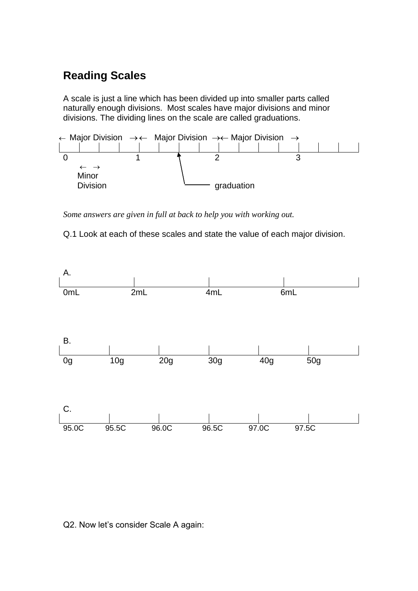## **Reading Scales**

A scale is just a line which has been divided up into smaller parts called naturally enough divisions. Most scales have major divisions and minor divisions. The dividing lines on the scale are called graduations.



*Some answers are given in full at back to help you with working out.*

Q.1 Look at each of these scales and state the value of each major division.



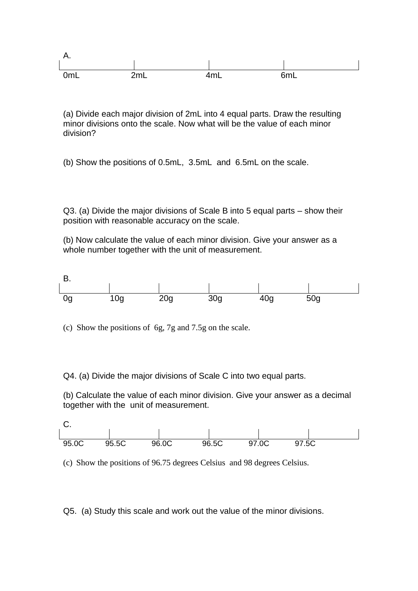

(a) Divide each major division of 2mL into 4 equal parts. Draw the resulting minor divisions onto the scale. Now what will be the value of each minor division?

(b) Show the positions of 0.5mL, 3.5mL and 6.5mL on the scale.

Q3. (a) Divide the major divisions of Scale B into 5 equal parts – show their position with reasonable accuracy on the scale.

(b) Now calculate the value of each minor division. Give your answer as a whole number together with the unit of measurement.



(c) Show the positions of 6g, 7g and 7.5g on the scale.

Q4. (a) Divide the major divisions of Scale C into two equal parts.

(b) Calculate the value of each minor division. Give your answer as a decimal together with the unit of measurement.



(c) Show the positions of 96.75 degrees Celsius and 98 degrees Celsius.

Q5. (a) Study this scale and work out the value of the minor divisions.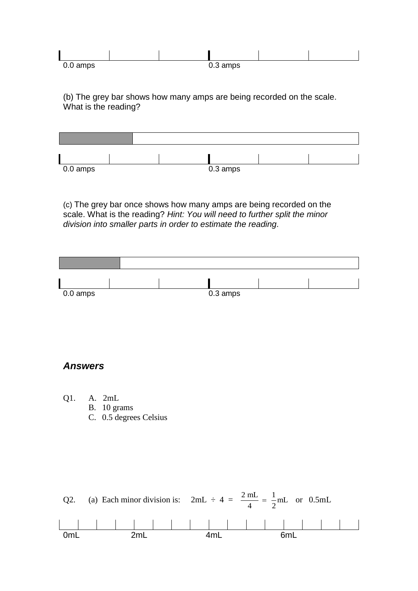| 0.0 amps |  | ົດ<br>$0.3 \text{ amps}$ |  |
|----------|--|--------------------------|--|

(b) The grey bar shows how many amps are being recorded on the scale. What is the reading?



(c) The grey bar once shows how many amps are being recorded on the scale. What is the reading? *Hint: You will need to further split the minor division into smaller parts in order to estimate the reading.*



## *Answers*

- Q1. A. 2mL
	- B. 10 grams
	- C. 0.5 degrees Celsius